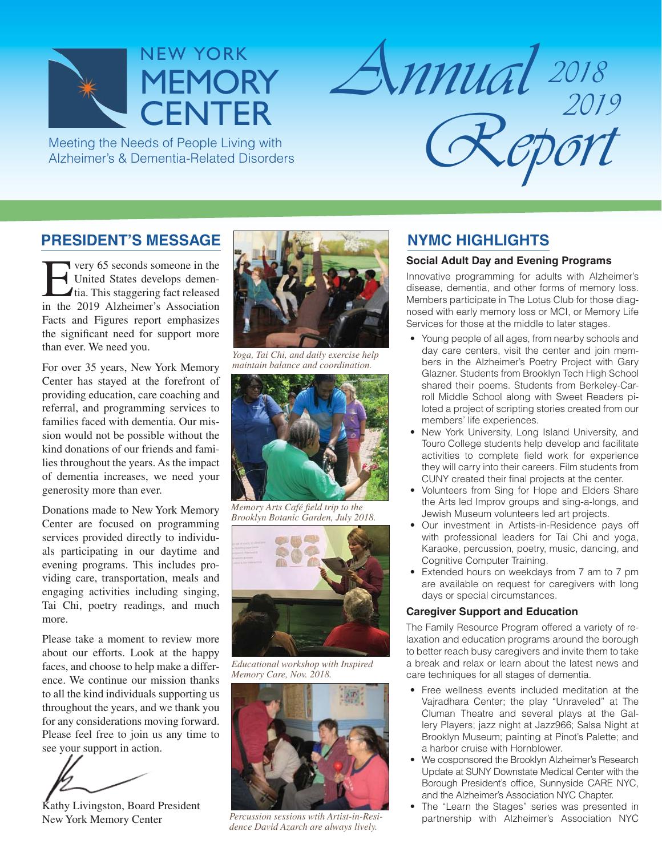

Meeting the Needs of People Living with Alzheimer's & Dementia-Related Disorders *<sup>2018</sup> Annual <sup>2019</sup> Report*

## **PRESIDENT'S MESSAGE NEWS A SECOND MYMC HIGHLIGHTS**

**EVERY 65 seconds someone in the United States develops demen-**<br>tia. This staggering fact released<br>in the 2019 Alzheimer's Association United States develops dementia. This staggering fact released in the 2019 Alzheimer's Association Facts and Figures report emphasizes the significant need for support more than ever. We need you.

For over 35 years, New York Memory Center has stayed at the forefront of providing education, care coaching and referral, and programming services to families faced with dementia. Our mission would not be possible without the kind donations of our friends and families throughout the years. As the impact of dementia increases, we need your generosity more than ever.

Donations made to New York Memory Center are focused on programming services provided directly to individuals participating in our daytime and evening programs. This includes providing care, transportation, meals and engaging activities including singing, Tai Chi, poetry readings, and much more.

Please take a moment to review more about our efforts. Look at the happy faces, and choose to help make a difference. We continue our mission thanks to all the kind individuals supporting us throughout the years, and we thank you for any considerations moving forward. Please feel free to join us any time to see your support in action.

Kathy Livingston, Board President New York Memory Center



*Yoga, Tai Chi, and daily exercise help maintain balance and coordination.*



*Memory Arts Café field trip to the Brooklyn Botanic Garden, July 2018.*



*Educational workshop with Inspired Memory Care, Nov. 2018.*



*Percussion sessions wtih Artist-in-Residence David Azarch are always lively.*

### **Social Adult Day and Evening Programs**

Innovative programming for adults with Alzheimer's disease, dementia, and other forms of memory loss. Members participate in The Lotus Club for those diagnosed with early memory loss or MCI, or Memory Life Services for those at the middle to later stages.

- Young people of all ages, from nearby schools and day care centers, visit the center and join members in the Alzheimer's Poetry Project with Gary Glazner. Students from Brooklyn Tech High School shared their poems. Students from Berkeley-Carroll Middle School along with Sweet Readers piloted a project of scripting stories created from our members' life experiences.
- New York University, Long Island University, and Touro College students help develop and facilitate activities to complete field work for experience they will carry into their careers. Film students from CUNY created their final projects at the center.
- Volunteers from Sing for Hope and Elders Share the Arts led Improv groups and sing-a-longs, and Jewish Museum volunteers led art projects.
- Our investment in Artists-in-Residence pays off with professional leaders for Tai Chi and yoga, Karaoke, percussion, poetry, music, dancing, and Cognitive Computer Training.
- Extended hours on weekdays from 7 am to 7 pm are available on request for caregivers with long days or special circumstances.

## **Caregiver Support and Education**

The Family Resource Program offered a variety of relaxation and education programs around the borough to better reach busy caregivers and invite them to take a break and relax or learn about the latest news and care techniques for all stages of dementia.

- Free wellness events included meditation at the Vajradhara Center; the play "Unraveled" at The Cluman Theatre and several plays at the Gallery Players; jazz night at Jazz966; Salsa Night at Brooklyn Museum; painting at Pinot's Palette; and a harbor cruise with Hornblower.
- We cosponsored the Brooklyn Alzheimer's Research Update at SUNY Downstate Medical Center with the Borough President's office, Sunnyside CARE NYC, and the Alzheimer's Association NYC Chapter.
- The "Learn the Stages" series was presented in partnership with Alzheimer's Association NYC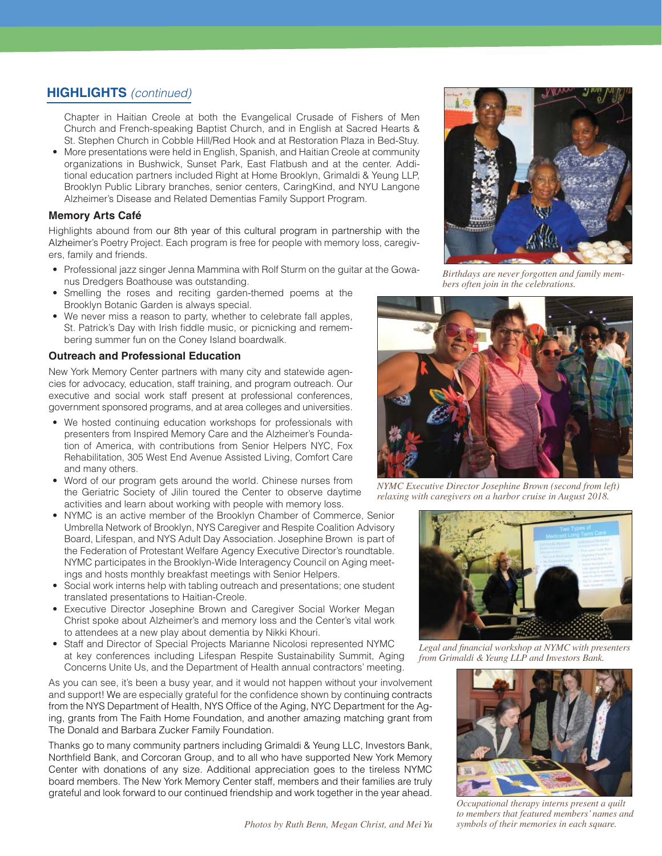## **HIGHLIGHTS** *(continued)*

Chapter in Haitian Creole at both the Evangelical Crusade of Fishers of Men Church and French-speaking Baptist Church, and in English at Sacred Hearts & St. Stephen Church in Cobble Hill/Red Hook and at Restoration Plaza in Bed-Stuy.

• More presentations were held in English, Spanish, and Haitian Creole at community organizations in Bushwick, Sunset Park, East Flatbush and at the center. Additional education partners included Right at Home Brooklyn, Grimaldi & Yeung LLP, Brooklyn Public Library branches, senior centers, CaringKind, and NYU Langone Alzheimer's Disease and Related Dementias Family Support Program.

#### **Memory Arts Café**

Highlights abound from our 8th year of this cultural program in partnership with the Alzheimer's Poetry Project. Each program is free for people with memory loss, caregivers, family and friends.

- Professional jazz singer Jenna Mammina with Rolf Sturm on the guitar at the Gowanus Dredgers Boathouse was outstanding.
- Smelling the roses and reciting garden-themed poems at the Brooklyn Botanic Garden is always special.
- We never miss a reason to party, whether to celebrate fall apples, St. Patrick's Day with Irish fiddle music, or picnicking and remembering summer fun on the Coney Island boardwalk.

#### **Outreach and Professional Education**

New York Memory Center partners with many city and statewide agencies for advocacy, education, staff training, and program outreach. Our executive and social work staff present at professional conferences, government sponsored programs, and at area colleges and universities.

- We hosted continuing education workshops for professionals with presenters from Inspired Memory Care and the Alzheimer's Foundation of America, with contributions from Senior Helpers NYC, Fox Rehabilitation, 305 West End Avenue Assisted Living, Comfort Care and many others.
- Word of our program gets around the world. Chinese nurses from the Geriatric Society of Jilin toured the Center to observe daytime activities and learn about working with people with memory loss.
- NYMC is an active member of the Brooklyn Chamber of Commerce, Senior Umbrella Network of Brooklyn, NYS Caregiver and Respite Coalition Advisory Board, Lifespan, and NYS Adult Day Association. Josephine Brown is part of the Federation of Protestant Welfare Agency Executive Director's roundtable. NYMC participates in the Brooklyn-Wide Interagency Council on Aging meetings and hosts monthly breakfast meetings with Senior Helpers.
- Social work interns help with tabling outreach and presentations; one student translated presentations to Haitian-Creole.
- Executive Director Josephine Brown and Caregiver Social Worker Megan Christ spoke about Alzheimer's and memory loss and the Center's vital work to attendees at a new play about dementia by Nikki Khouri.
- Staff and Director of Special Projects Marianne Nicolosi represented NYMC at key conferences including Lifespan Respite Sustainability Summit, Aging Concerns Unite Us, and the Department of Health annual contractors' meeting.

As you can see, it's been a busy year, and it would not happen without your involvement and support! We are especially grateful for the confidence shown by continuing contracts from the NYS Department of Health, NYS Office of the Aging, NYC Department for the Aging, grants from The Faith Home Foundation, and another amazing matching grant from The Donald and Barbara Zucker Family Foundation.

Thanks go to many community partners including Grimaldi & Yeung LLC, Investors Bank, Northfield Bank, and Corcoran Group, and to all who have supported New York Memory Center with donations of any size. Additional appreciation goes to the tireless NYMC board members. The New York Memory Center staff, members and their families are truly grateful and look forward to our continued friendship and work together in the year ahead.

*Photos by Ruth Benn, Megan Christ, and Mei Yu symbols of their memories in each square.*



*Birthdays are never forgotten and family members often join in the celebrations.*



*NYMC Executive Director Josephine Brown (second from left) relaxing with caregivers on a harbor cruise in August 2018.*



Legal and financial workshop at NYMC with presenters *from Grimaldi & Yeung LLP and Investors Bank.*



*Occupational therapy interns present a quilt to members that featured members' names and*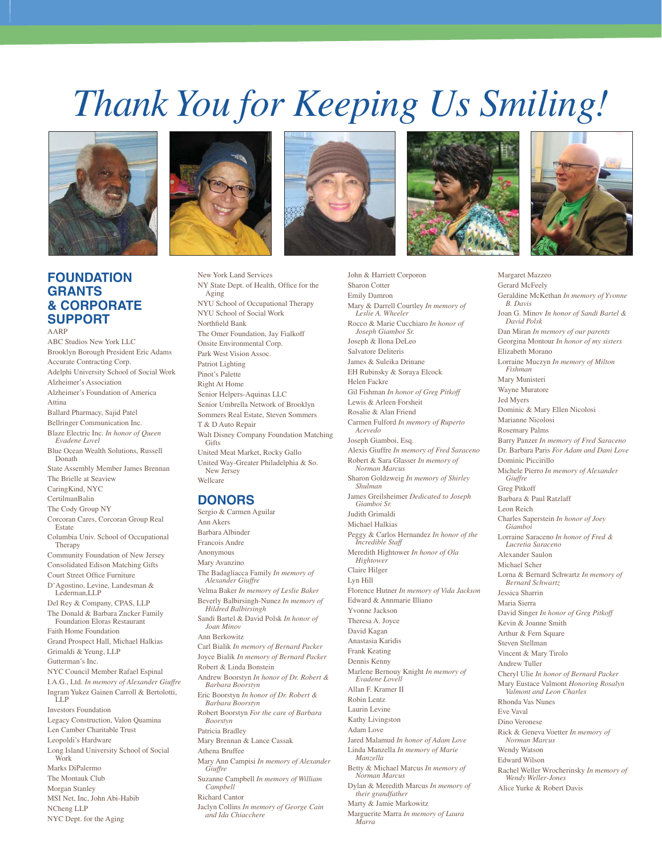# *Thank You for Keeping Us Smiling!*



#### **FOUNDATION GRANTS & CORPORATE SUPPORT** AARP

ABC Studios New York LLC Brooklyn Borough President Eric Adams Accurate Contracting Corp. Adelphi University School of Social Work Alzheimer's Association Alzheimer's Foundation of America Attina Ballard Pharmacy, Sajid Patel Bellringer Communication Inc. Blaze Electric Inc. *In honor of Queen Evadene Lovel* Blue Ocean Wealth Solutions, Russell Donath State Assembly Member James Brennan The Brielle at Seaview CaringKind, NYC CertilmanBalin The Cody Group NY Corcoran Cares, Corcoran Group Real Estate Columbia Univ. School of Occupational Therapy Community Foundation of New Jersey Consolidated Edison Matching Gifts Court Street Office Furniture D'Agostino, Levine, Landesman & Lederman,LLP Del Rey & Company, CPAS, LLP The Donald & Barbara Zucker Family Foundation Eloras Restaurant Faith Home Foundation Grand Prospect Hall, Michael Halkias Grimaldi & Yeung, LLP Gutterman's Inc. NYC Council Member Rafael Espinal I.A.G., Ltd. *In memory of Alexander Giuffre* Ingram Yukez Gainen Carroll & Bertolotti, LLP Investors Foundation Legacy Construction, Valon Quamina Len Camber Charitable Trust Leopoldi's Hardware Long Island University School of Social Work Marks DiPalermo The Montauk Club Morgan Stanley MSI Net, Inc, John Abi-Habib NCheng LLP

NYC Dept. for the Aging



New York Land Services NY State Dept. of Health, Office for the Aging NYU School of Occupational Therapy NYU School of Social Work Northfield Bank The Omer Foundation, Jay Fialkoff Onsite Environmental Corp. Park West Vision Assoc. Patriot Lighting Pinot's Palette Right At Home Senior Helpers-Aquinas LLC Senior Umbrella Network of Brooklyn Sommers Real Estate, Steven Sommers T & D Auto Repair Walt Disney Company Foundation Matching **Gifts** United Meat Market, Rocky Gallo United Way-Greater Philadelphia & So.

## Wellcare

## **DONORS**

New Jersey

Sergio & Carmen Aguilar Ann Akers Barbara Albinder Francois Andre Anonymous Mary Avanzino The Badagliacca Family *In memory of Alexander Giuffre* Velma Baker *In memory of Leslie Baker* Beverly Balbirsingh-Nunez *In memory of Hildred Balbirsingh* Sandi Bartel & David Polsk *In honor of Joan Minov* Ann Berkowitz Carl Bialik *In memory of Bernard Packer*  Joyce Bialik *In memory of Bernard Packer* Robert & Linda Bonstein Andrew Boorstyn *In honor of Dr. Robert & Barbara Boorstyn* Eric Boorstyn *In honor of Dr. Robert & Barbara Boorstyn* Robert Boorstyn *For the care of Barbara Boorstyn* Patricia Bradley Mary Brennan & Lance Cassak Athena Bruffee Mary Ann Campisi *In memory of Alexander Giuffre* Suzanne Campbell *In memory of William Campbell* Richard Cantor Jaclyn Collins *In memory of George Cain and Ida Chiacchere*



John & Harriett Corporon Sharon Cotter Emily Damron Mary & Darrell Courtley *In memory of Leslie A. Wheeler* Rocco & Marie Cucchiaro *In honor of Joseph Giamboi Sr.* Joseph & Ilona DeLeo Salvatore Deliteris James & Suleika Drinane EH Rubinsky & Soraya Elcock Helen Fackre Gil Fishman *In honor of Greg Pitkoff* Lewis & Arleen Forsheit Rosalie & Alan Friend Carmen Fulford *In memory of Ruperto Acevedo* Joseph Giamboi, Esq. Alexis Giuffre *In memory of Fred Saraceno* Robert & Sara Glasser *In memory of Norman Marcus* Sharon Goldzweig *In memory of Shirley Shulman* James Greilsheimer *Dedicated to Joseph Giamboi Sr.* Judith Grimaldi Michael Halkias Peggy & Carlos Hernandez *In honor of the Incredible Staff* Meredith Hightower *In honor of Ola Hightower* Claire Hilger Lyn Hill Florence Hutner *In memory of Vida Jackson* Edward & Annmarie Illiano Yvonne Jackson Theresa A. Joyce David Kagan Anastasia Karidis Frank Keating Dennis Kenny Marlene Bernouy Knight *In memory of Evadene Lovell* Allan F. Kramer II Robin Lentz Laurin Levine Kathy Livingston Adam Love Jared Malamud *In honor of Adam Love* Linda Manzella *In memory of Marie Manzella* Betty & Michael Marcus *In memory of Norman Marcus* Dylan & Meredith Marcus *In memory of their grandfather* Marty & Jamie Markowitz Marguerite Marra *In memory of Laura Marra*



Margaret Mazzeo Gerard McFeely Geraldine McKethan *In memory of Yvonne B. Davis* Joan G. Minov *In honor of Sandi Bartel & David Polsk* Dan Miran *In memory of our parents* Georgina Montour *In honor of my sisters* Elizabeth Morano Lorraine Muczyn *In memory of Milton Fishman* Mary Munisteri Wayne Muratore Jed Myers Dominic & Mary Ellen Nicolosi Marianne Nicolosi Rosemary Palms Barry Panzer *In memory of Fred Saraceno* Dr. Barbara Paris *For Adam and Dani Love* Dominic Piccirillo Michele Pierro *In memory of Alexander Giuffre* Greg Pitkoff Barbara & Paul Ratzlaff Leon Reich Charles Saperstein *In honor of Joey Giamboi* Lorraine Saraceno *In honor of Fred & Lucretia Saraceno* Alexander Saulon Michael Scher Lorna & Bernard Schwartz *In memory of Bernard Schwartz* Jessica Sharrin Maria Sierra David Singer *In honor of Greg Pitkoff* Kevin & Joanne Smith Arthur & Fern Square Steven Stellman Vincent & Mary Tirolo Andrew Tuller Cheryl Ulie *In honor of Bernard Packer* Mary Eustace Valmont *Honoring Rosalyn Valmont and Leon Charles* Rhonda Vas Nunes Eve Vaval Dino Veronese Rick & Geneva Voetter *In memory of Norman Marcus* Wendy Watson Edward Wilson Rachel Weller Wrocherinsky *In memory of Wendy Weller-Jones* Alice Yurke & Robert Davis